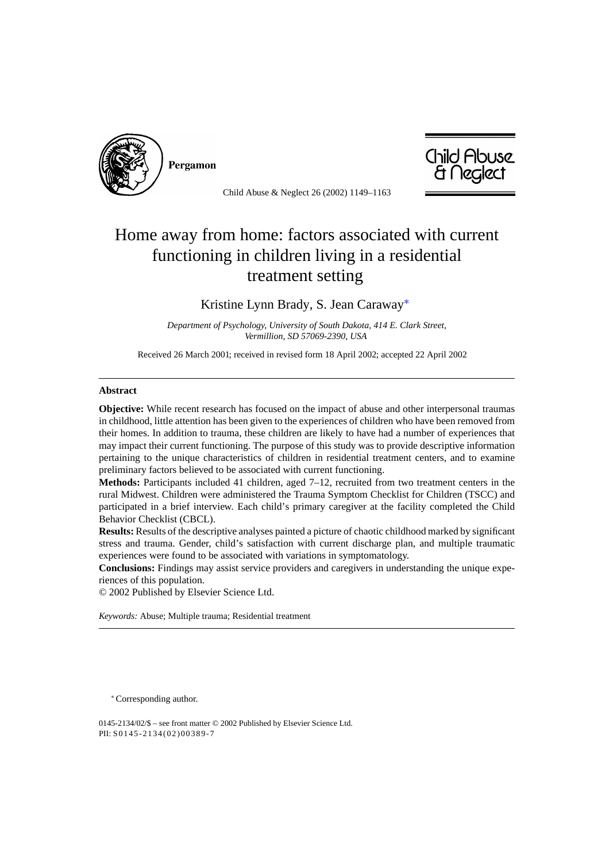

Pergamon



Child Abuse & Neglect 26 (2002) 1149–1163

## Home away from home: factors associated with current functioning in children living in a residential treatment setting

Kristine Lynn Brady, S. Jean Caraway∗

*Department of Psychology, University of South Dakota, 414 E. Clark Street, Vermillion, SD 57069-2390, USA*

Received 26 March 2001; received in revised form 18 April 2002; accepted 22 April 2002

## **Abstract**

**Objective:** While recent research has focused on the impact of abuse and other interpersonal traumas in childhood, little attention has been given to the experiences of children who have been removed from their homes. In addition to trauma, these children are likely to have had a number of experiences that may impact their current functioning. The purpose of this study was to provide descriptive information pertaining to the unique characteristics of children in residential treatment centers, and to examine preliminary factors believed to be associated with current functioning.

**Methods:** Participants included 41 children, aged 7–12, recruited from two treatment centers in the rural Midwest. Children were administered the Trauma Symptom Checklist for Children (TSCC) and participated in a brief interview. Each child's primary caregiver at the facility completed the Child Behavior Checklist (CBCL).

**Results:** Results of the descriptive analyses painted a picture of chaotic childhood marked by significant stress and trauma. Gender, child's satisfaction with current discharge plan, and multiple traumatic experiences were found to be associated with variations in symptomatology.

**Conclusions:** Findings may assist service providers and caregivers in understanding the unique experiences of this population.

© 2002 Published by Elsevier Science Ltd.

*Keywords:* Abuse; Multiple trauma; Residential treatment

<sup>∗</sup>Corresponding author.

0145-2134/02/\$ – see front matter © 2002 Published by Elsevier Science Ltd. PII: S0145-2134(02)00389-7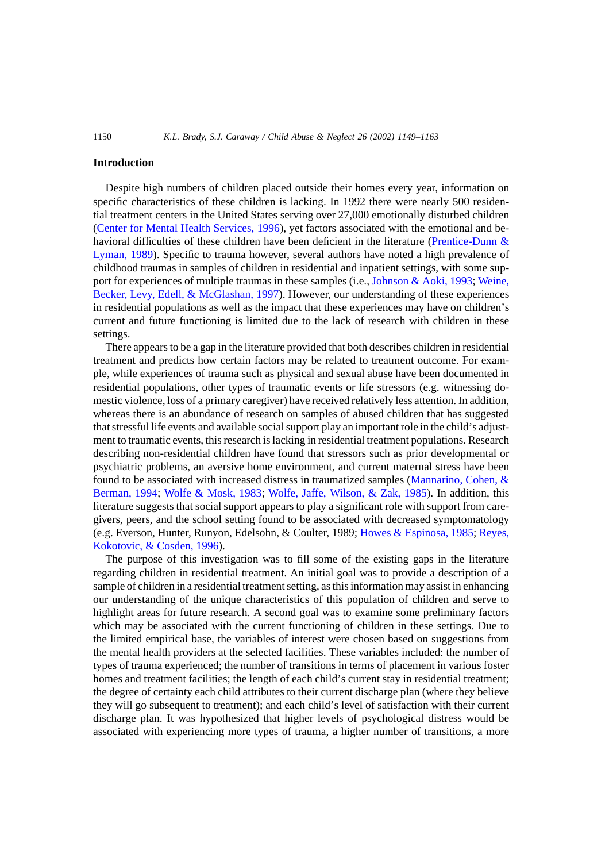## **Introduction**

Despite high numbers of children placed outside their homes every year, information on specific characteristics of these children is lacking. In 1992 there were nearly 500 residential treatment centers in the United States serving over 27,000 emotionally disturbed children ([Center for Mental Health Services, 1996\),](#page--1-0) yet factors associated with the emotional and be-havioral difficulties of these children have been deficient in the literature ([Prentice-Dunn &](#page--1-0) [Lyman, 1989\).](#page--1-0) Specific to trauma however, several authors have noted a high prevalence of childhood traumas in samples of children in residential and inpatient settings, with some sup-port for experiences of multiple traumas in these samples (i.e., [Johnson & Aoki, 1993;](#page--1-0) [Weine,](#page--1-0) [Becker, Levy, Edell, & McGlashan, 1997\).](#page--1-0) However, our understanding of these experiences in residential populations as well as the impact that these experiences may have on children's current and future functioning is limited due to the lack of research with children in these settings.

There appears to be a gap in the literature provided that both describes children in residential treatment and predicts how certain factors may be related to treatment outcome. For example, while experiences of trauma such as physical and sexual abuse have been documented in residential populations, other types of traumatic events or life stressors (e.g. witnessing domestic violence, loss of a primary caregiver) have received relatively less attention. In addition, whereas there is an abundance of research on samples of abused children that has suggested that stressful life events and available social support play an important role in the child's adjustment to traumatic events, this research is lacking in residential treatment populations. Research describing non-residential children have found that stressors such as prior developmental or psychiatric problems, an aversive home environment, and current maternal stress have been found to be associated with increased distress in traumatized samples [\(Mannarino, Cohen, &](#page--1-0) [Berman, 1994;](#page--1-0) [Wolfe & Mosk, 1983;](#page--1-0) [Wolfe, Jaffe, Wilson, & Zak, 1985\)](#page--1-0). In addition, this literature suggests that social support appears to play a significant role with support from caregivers, peers, and the school setting found to be associated with decreased symptomatology (e.g. Everson, Hunter, Runyon, Edelsohn, & Coulter, 1989; [Howes & Espinosa, 1985;](#page--1-0) [Reyes,](#page--1-0) [Kokotovic, & Cosden, 1996\).](#page--1-0)

The purpose of this investigation was to fill some of the existing gaps in the literature regarding children in residential treatment. An initial goal was to provide a description of a sample of children in a residential treatment setting, as this information may assist in enhancing our understanding of the unique characteristics of this population of children and serve to highlight areas for future research. A second goal was to examine some preliminary factors which may be associated with the current functioning of children in these settings. Due to the limited empirical base, the variables of interest were chosen based on suggestions from the mental health providers at the selected facilities. These variables included: the number of types of trauma experienced; the number of transitions in terms of placement in various foster homes and treatment facilities; the length of each child's current stay in residential treatment; the degree of certainty each child attributes to their current discharge plan (where they believe they will go subsequent to treatment); and each child's level of satisfaction with their current discharge plan. It was hypothesized that higher levels of psychological distress would be associated with experiencing more types of trauma, a higher number of transitions, a more